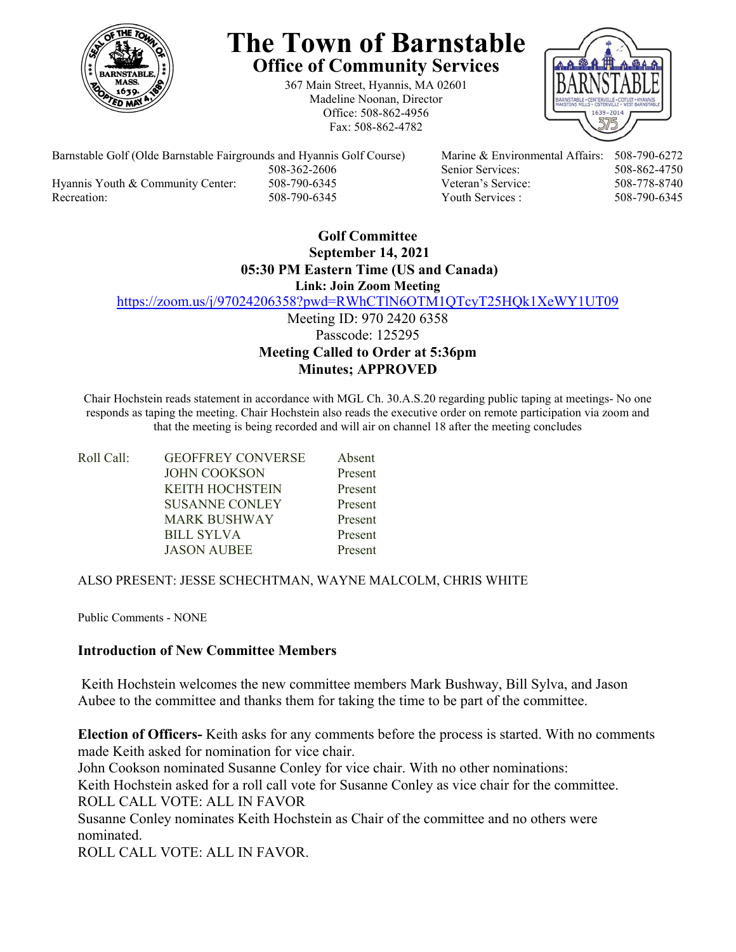

# **The Town of Barnstable Office of Community Services**

367 Main Street, Hyannis, MA 02601 Madeline Noonan, Director Office: 508-862-4956 Fax: 508-862-4782



Barnstable Golf (Olde Barnstable Fairgrounds and Hyannis Golf Course) Marine & Environmental Affairs: 508-790-6272 508-362-2606 Senior Services: 508-862-4750 Hyannis Youth & Community Center: 508-790-6345 Veteran's Service: 508-778-8740

Recreation: 508-790-6345 Youth Services : 508-790-6345

# **Golf Committee September 14, 2021 05:30 PM Eastern Time (US and Canada) Link: Join Zoom Meeting**

https://zoom.us/j/97024206358?pwd=RWhCTlN6OTM1QTcyT25HQk1XeWY1UT09

Meeting ID: 970 2420 6358 Passcode: 125295 **Meeting Called to Order at 5:36pm Minutes; APPROVED**

Chair Hochstein reads statement in accordance with MGL Ch. 30.A.S.20 regarding public taping at meetings- No one responds as taping the meeting. Chair Hochstein also reads the executive order on remote participation via zoom and that the meeting is being recorded and will air on channel 18 after the meeting concludes

| Roll Call: | <b>GEOFFREY CONVERSE</b> | Absent  |
|------------|--------------------------|---------|
|            | <b>JOHN COOKSON</b>      | Present |
|            | <b>KEITH HOCHSTEIN</b>   | Present |
|            | <b>SUSANNE CONLEY</b>    | Present |
|            | <b>MARK BUSHWAY</b>      | Present |
|            | BILL SYLVA               | Present |
|            | <b>JASON AUBEE</b>       | Present |

### ALSO PRESENT: JESSE SCHECHTMAN, WAYNE MALCOLM, CHRIS WHITE

Public Comments - NONE

## **Introduction of New Committee Members**

Keith Hochstein welcomes the new committee members Mark Bushway, Bill Sylva, and Jason Aubee to the committee and thanks them for taking the time to be part of the committee.

**Election of Officers-** Keith asks for any comments before the process is started. With no comments made Keith asked for nomination for vice chair. John Cookson nominated Susanne Conley for vice chair. With no other nominations: Keith Hochstein asked for a roll call vote for Susanne Conley as vice chair for the committee. ROLL CALL VOTE: ALL IN FAVOR Susanne Conley nominates Keith Hochstein as Chair of the committee and no others were nominated.

ROLL CALL VOTE: ALL IN FAVOR.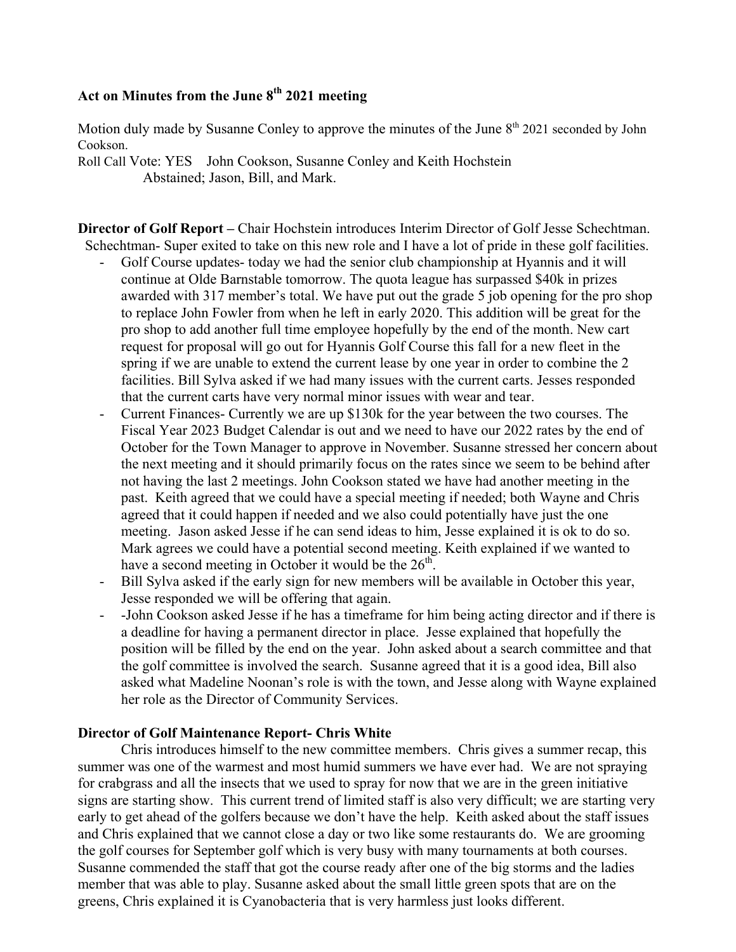# Act on Minutes from the June 8<sup>th</sup> 2021 meeting

Motion duly made by Susanne Conley to approve the minutes of the June  $8<sup>th</sup> 2021$  seconded by John Cookson.

Roll Call Vote: YES John Cookson, Susanne Conley and Keith Hochstein Abstained; Jason, Bill, and Mark.

**Director of Golf Report –** Chair Hochstein introduces Interim Director of Golf Jesse Schechtman. Schechtman- Super exited to take on this new role and I have a lot of pride in these golf facilities.

- Golf Course updates- today we had the senior club championship at Hyannis and it will continue at Olde Barnstable tomorrow. The quota league has surpassed \$40k in prizes awarded with 317 member's total. We have put out the grade 5 job opening for the pro shop to replace John Fowler from when he left in early 2020. This addition will be great for the pro shop to add another full time employee hopefully by the end of the month. New cart request for proposal will go out for Hyannis Golf Course this fall for a new fleet in the spring if we are unable to extend the current lease by one year in order to combine the 2 facilities. Bill Sylva asked if we had many issues with the current carts. Jesses responded that the current carts have very normal minor issues with wear and tear.
- Current Finances- Currently we are up \$130k for the year between the two courses. The Fiscal Year 2023 Budget Calendar is out and we need to have our 2022 rates by the end of October for the Town Manager to approve in November. Susanne stressed her concern about the next meeting and it should primarily focus on the rates since we seem to be behind after not having the last 2 meetings. John Cookson stated we have had another meeting in the past. Keith agreed that we could have a special meeting if needed; both Wayne and Chris agreed that it could happen if needed and we also could potentially have just the one meeting. Jason asked Jesse if he can send ideas to him, Jesse explained it is ok to do so. Mark agrees we could have a potential second meeting. Keith explained if we wanted to have a second meeting in October it would be the  $26<sup>th</sup>$ .
- Bill Sylva asked if the early sign for new members will be available in October this year, Jesse responded we will be offering that again.
- -John Cookson asked Jesse if he has a timeframe for him being acting director and if there is a deadline for having a permanent director in place. Jesse explained that hopefully the position will be filled by the end on the year. John asked about a search committee and that the golf committee is involved the search. Susanne agreed that it is a good idea, Bill also asked what Madeline Noonan's role is with the town, and Jesse along with Wayne explained her role as the Director of Community Services.

### **Director of Golf Maintenance Report- Chris White**

Chris introduces himself to the new committee members. Chris gives a summer recap, this summer was one of the warmest and most humid summers we have ever had. We are not spraying for crabgrass and all the insects that we used to spray for now that we are in the green initiative signs are starting show. This current trend of limited staff is also very difficult; we are starting very early to get ahead of the golfers because we don't have the help. Keith asked about the staff issues and Chris explained that we cannot close a day or two like some restaurants do. We are grooming the golf courses for September golf which is very busy with many tournaments at both courses. Susanne commended the staff that got the course ready after one of the big storms and the ladies member that was able to play. Susanne asked about the small little green spots that are on the greens, Chris explained it is Cyanobacteria that is very harmless just looks different.